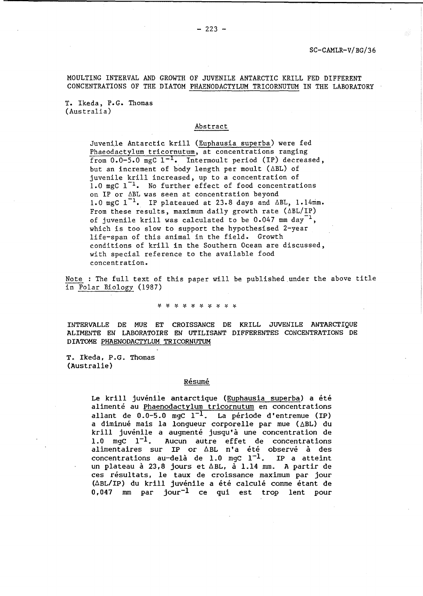MOULTING INTERVAL AND GROWTH OF JUVENILE ANTARCTIC KRILL FED DIFFERENT CONCENTRATIONS OF THE DIATOM PHAENODACTYLUM TRICORNUTUM IN THE LABORATORY

T. Ikeda, P.G. Thomas (Australia)

## Abstract

Juvenile Antarctic krill (Euphausia superba) were fed Phaeodactylum tricornutum, at concentrations ranging from  $0.0-5.0$  mgC  $1^{-1}$ . Intermoult period (IP) decreased, but an increment of body length per moult ( $\triangle$ BL) of juvenile krill increased, up to a concentration of 1.0 mgC  $1^{-1}$ . No further effect of food concentrations on IP or 6BL was seen at concentration beyond 1.0 mgC  $1^{-1}$ . IP plateaued at 23.8 days and  $\triangle$ BL, 1.14mm. From these results, maximum daily growth rate  $(\Delta BL/IP)$ of juvenile krill was calculated to be  $0.047$  mm day<sup>-1</sup>, which is too slow to support the hypothesised 2-year life-span of this animal in the field. Growth conditions of krill in the Southern Ocean are discussed, with special reference to the available food concentration.

Note : The full text of this paper will be published under the above title in Polar Biology (1987)

\* \* \* \* \* \* \* \* \* \*

INTERVALLE DE MUE ET CROISSANCE DE KRILL JUVENILE ANTARCTIOUE ALIMENTE EN LABORATOIRE EN UTILISANT DIFFERENTES CONCENTRATIONS DE DIATOME PHAENODACTYLUM TRICORNUTUM

T. Ikeda, P.G. Thomas (Australie)

### Résumé

Le krill *juvenile* antarctique (Euphausia superba) a ete alimenté au Phaenodactylum tricornutum en concentrations allant de  $0.0-5.0$  mgC  $1^{-1}$ . La période d'entremue (IP) a diminué mais la longueur corporelle par mue (ABL) du krill juvénile a augmenté jusqu'à une concentration de<br>1.0 mgC  $1^{-1}$ . Aucun autre effet de concentrations Aucun autre effet de concentrations alimentaires sur IP or  $\triangle$ BL n'a été observé à des concentrations au-delà de 1.0 mgc  $1^{-1}$ . IP a atteint un plateau à 23,8 jours et  $\Delta BL$ , à 1.14 mm. A partir de ces résultats, le taux de croissance maximum par jour  $(\Delta BL/IP)$  du krill juvénile a été calculé comme étant de 0,047 mm par jour<sup>-1</sup> ce qui est trop lent pour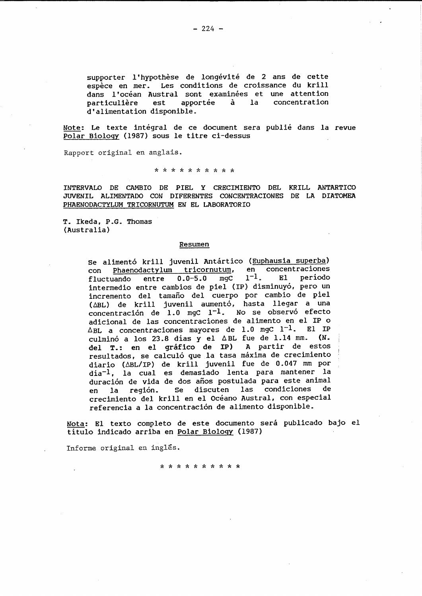supporter l'hypothèse de longévité de 2 ans de cette espece en mer. Les conditions de croissance du krill dans l'océan Austral sont examinées et une attention<br>particulière est apportée à la concentration particulière est apportée à la concentration d'alimentation disponible.

Note: Le texte intégral de ce document sera publié dans la revue Polar Biology (1987) sous le titre ci-dessus

Rapport original en anglais.

\* \* \* \* \* \* \* \* \* \*

INTERVALO DE CAMBIO DE PIEL Y CRECIMIENTO DEL KRILL ANTARTICO JUVENIL ALIMENTADO CON DIFERENTES CONCENTRACIONES DE LA DIATOMEA PHAENODACTYLUM TRICORNUTUM EN EL LABORATORIO

T. Ikeda, P.G. Thomas (Australia)

#### Resumen

Se alimentó krill juvenil Antártico (Euphausia superba) con Phaenodactylum tricornutum, en concentraciones<br>fluctuando entre 0.0-5.0 mgc  $1^{-1}$ . El período fluctuando entre 0.0-5.0 mgC intermedio entre cambios de piel (IP) disminuyó, pero un incremento del tamano del cuerpo por cambio de piel (ABL) de krill juvenil aumentó, hasta llegar a una concentración de 1.0 mgC  $1^{-1}$ . No se observó efecto adicional de las concentraciones de alimento en el IP <sup>0</sup>  $\Delta$ BL a concentraciones mayores de 1.0 mgC 1<sup>-1</sup>. El IP culminó a los 23.8 días y el  $\triangle$ BL fue de 1.14 mm. (N. del T.: en el gráfico de IP) A partir de estos resultados, se calculó que la tasa máxima de crecimiento diario ( $\triangle$ BL/IP) de krill juvenil fue de 0.047 mm por dia-l , la cual es demasiado lenta para mantener la duración de vida de dos años postulada para este animal en la region. Se discuten las condiciones de crecimiento del krill en el Océano Austral, con especial referencia a la concentracion de alimento disponible.

Nota: El texto completo de este documento será publicado bajo el titulo indicado arriba en Polar Biology (1987)

Informe original en inglés.

\* \* \* \* \* \* \* \* \* \*